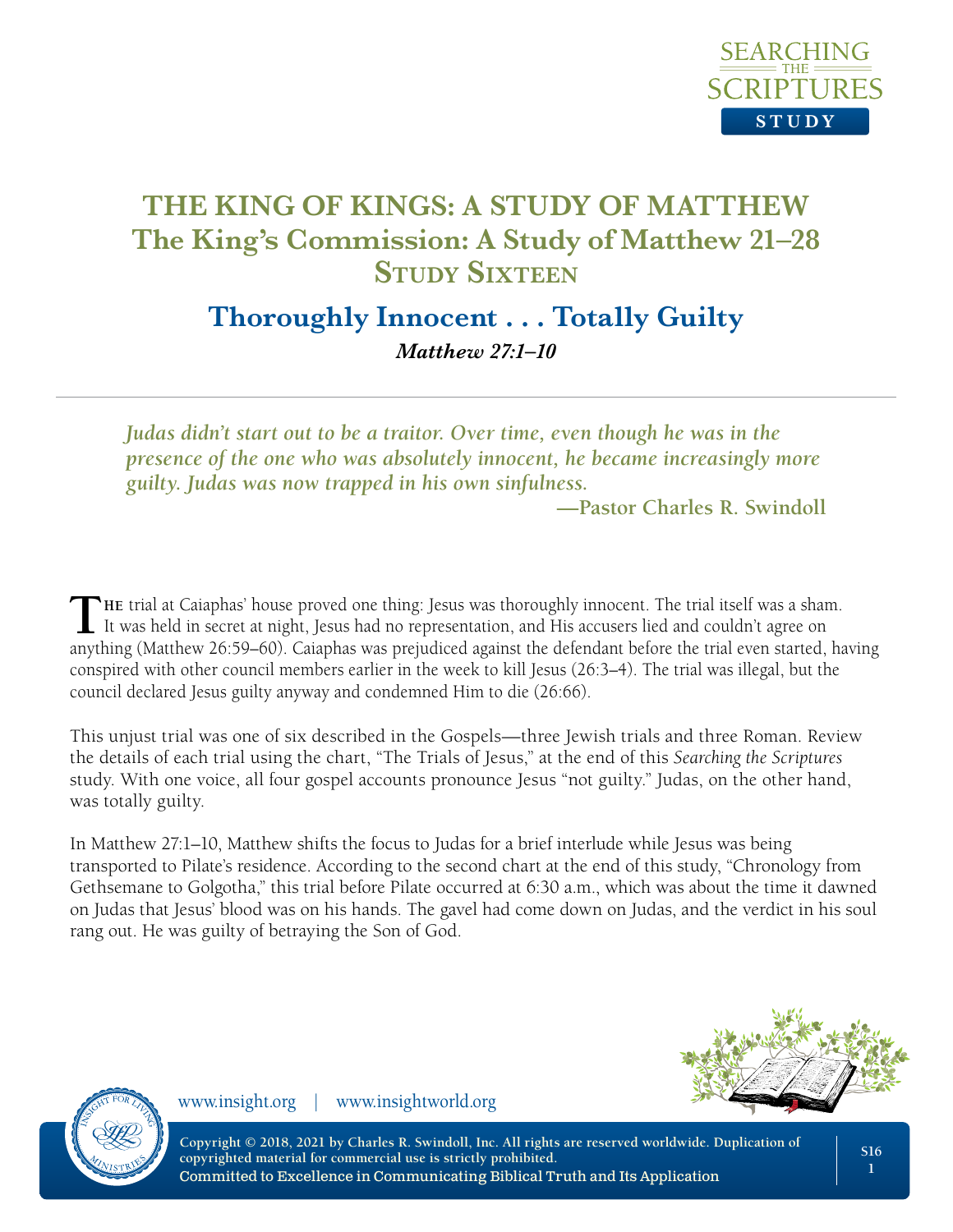

# **Thoroughly Innocent . . . Totally Guilty** *Matthew 27:1–10*

*Judas didn't start out to be a traitor. Over time, even though he was in the presence of the one who was absolutely innocent, he became increasingly more guilty. Judas was now trapped in his own sinfulness.*

**—Pastor Charles R. Swindoll**

**T**HE trial at Caiaphas' house proved one thing: Jesus was thoroughly innocent. The trial itself was a sham.<br>It was held in secret at night, Jesus had no representation, and His accusers lied and couldn't agree on anything (Matthew 26:59–60). Caiaphas was prejudiced against the defendant before the trial even started, having conspired with other council members earlier in the week to kill Jesus (26:3–4). The trial was illegal, but the council declared Jesus guilty anyway and condemned Him to die (26:66).

This unjust trial was one of six described in the Gospels—three Jewish trials and three Roman. Review the details of each trial using the chart, "The Trials of Jesus," at the end of this *Searching the Scriptures* study. With one voice, all four gospel accounts pronounce Jesus "not guilty." Judas, on the other hand, was totally guilty.

In Matthew 27:1–10, Matthew shifts the focus to Judas for a brief interlude while Jesus was being transported to Pilate's residence. According to the second chart at the end of this study, "Chronology from Gethsemane to Golgotha," this trial before Pilate occurred at 6:30 a.m., which was about the time it dawned on Judas that Jesus' blood was on his hands. The gavel had come down on Judas, and the verdict in his soul rang out. He was guilty of betraying the Son of God.





www.insight.org | www.insightworld.org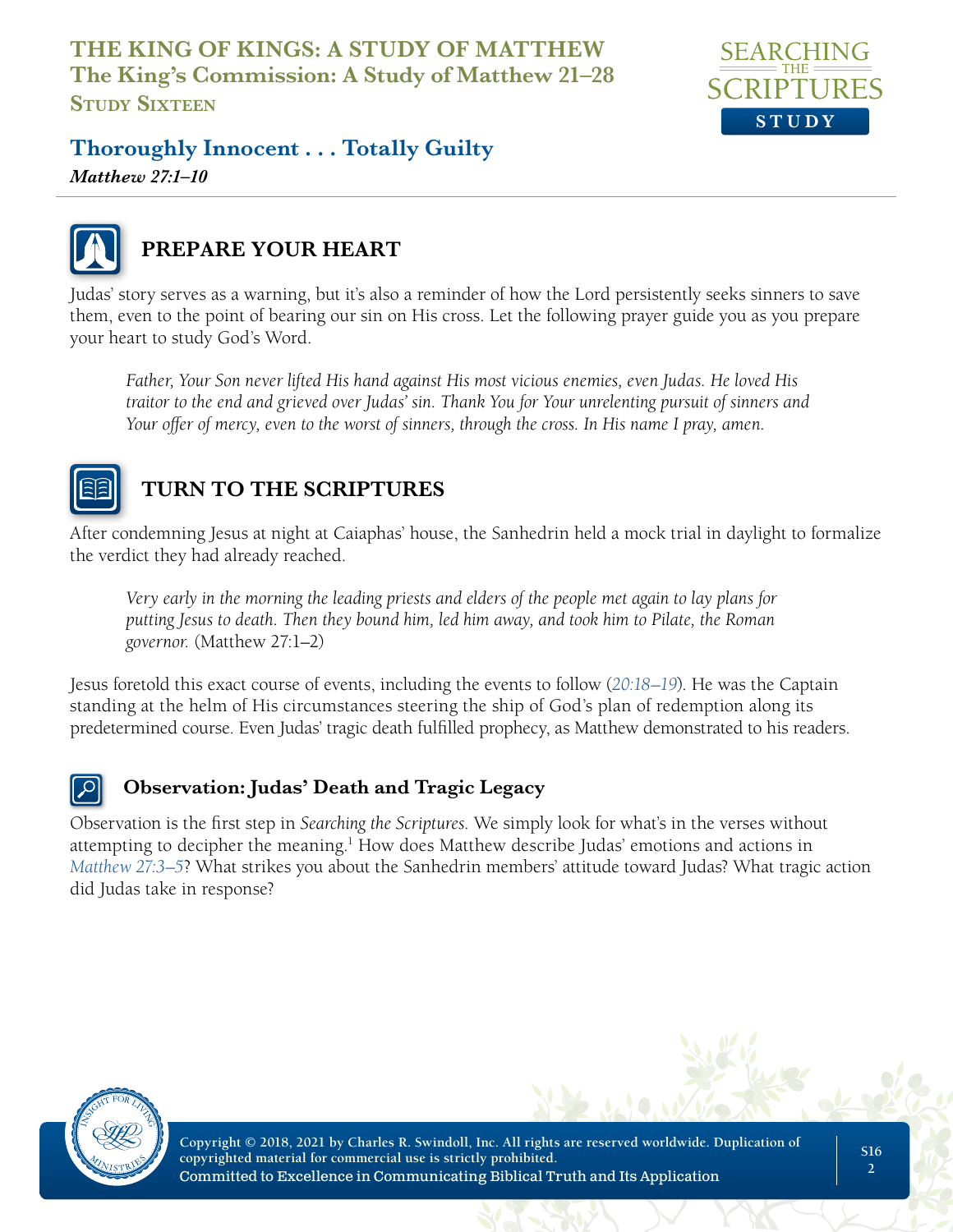

**Thoroughly Innocent . . . Totally Guilty**

*Matthew 27:1–10*



# **PREPARE YOUR HEART**

Judas' story serves as a warning, but it's also a reminder of how the Lord persistently seeks sinners to save them, even to the point of bearing our sin on His cross. Let the following prayer guide you as you prepare your heart to study God's Word.

*Father, Your Son never lifted His hand against His most vicious enemies, even Judas. He loved His traitor to the end and grieved over Judas' sin. Thank You for Your unrelenting pursuit of sinners and Your offer of mercy, even to the worst of sinners, through the cross. In His name I pray, amen.*



# **TURN TO THE SCRIPTURES**

After condemning Jesus at night at Caiaphas' house, the Sanhedrin held a mock trial in daylight to formalize the verdict they had already reached.

*Very early in the morning the leading priests and elders of the people met again to lay plans for putting Jesus to death. Then they bound him, led him away, and took him to Pilate, the Roman governor.* (Matthew 27:1–2)

Jesus foretold this exact course of events, including the events to follow (*20:18–19*). He was the Captain standing at the helm of His circumstances steering the ship of God's plan of redemption along its predetermined course. Even Judas' tragic death fulfilled prophecy, as Matthew demonstrated to his readers.



## **Observation: Judas' Death and Tragic Legacy**

Observation is the first step in *Searching the Scriptures*. We simply look for what's in the verses without attempting to decipher the meaning.<sup>1</sup> How does Matthew describe Judas' emotions and actions in *Matthew 27:3–5*? What strikes you about the Sanhedrin members' attitude toward Judas? What tragic action did Judas take in response?

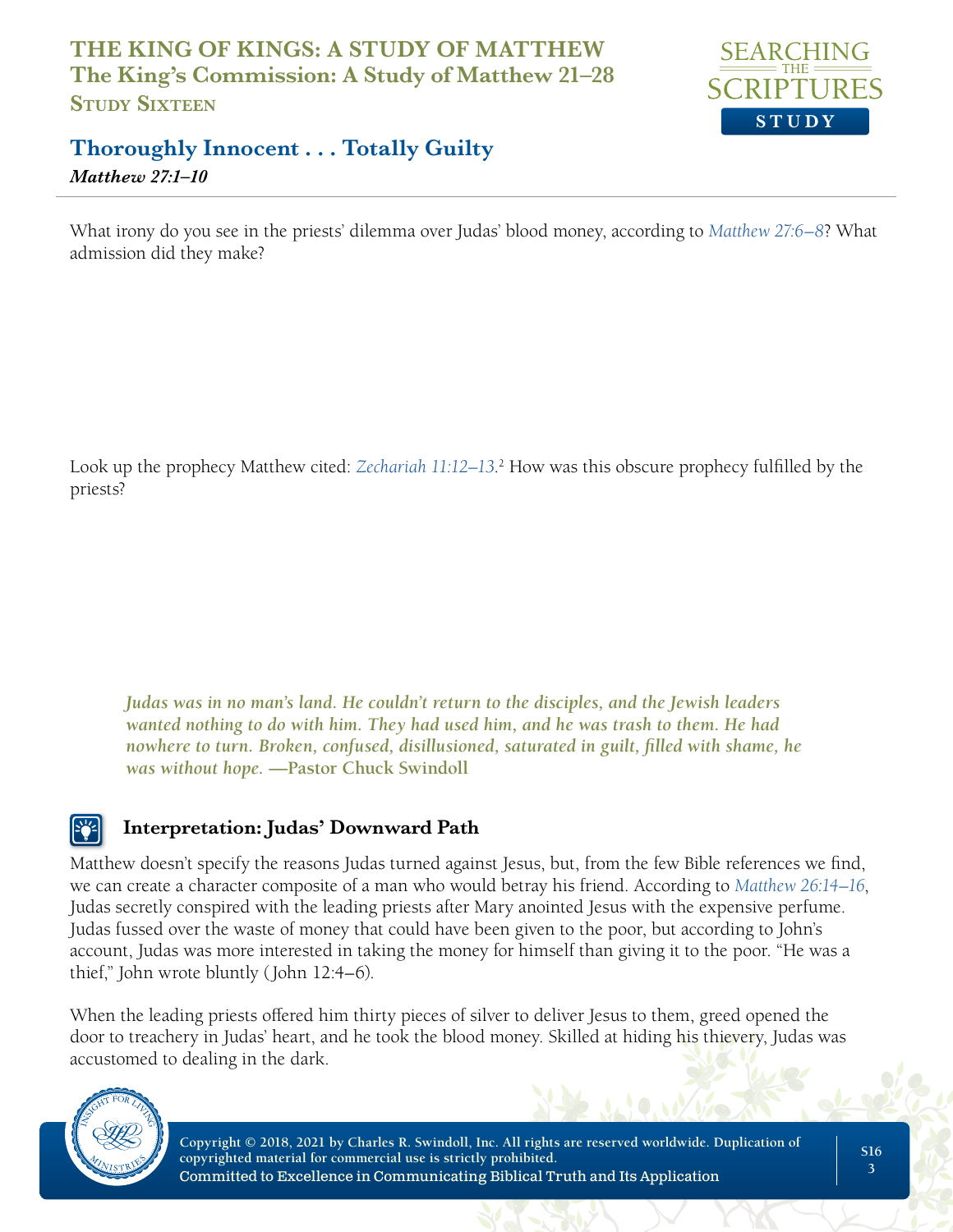

## **Thoroughly Innocent . . . Totally Guilty** *Matthew 27:1–10*

What irony do you see in the priests' dilemma over Judas' blood money, according to *Matthew 27:6–8*? What admission did they make?

Look up the prophecy Matthew cited: *Zechariah 11:12–13*. 2 How was this obscure prophecy fulfilled by the priests?

*Judas was in no man's land. He couldn't return to the disciples, and the Jewish leaders wanted nothing to do with him. They had used him, and he was trash to them. He had nowhere to turn. Broken, confused, disillusioned, saturated in guilt, filled with shame, he was without hope.* **—Pastor Chuck Swindoll**

## **Interpretation: Judas' Downward Path**

Matthew doesn't specify the reasons Judas turned against Jesus, but, from the few Bible references we find, we can create a character composite of a man who would betray his friend. According to *Matthew 26:14–16*, Judas secretly conspired with the leading priests after Mary anointed Jesus with the expensive perfume. Judas fussed over the waste of money that could have been given to the poor, but according to John's account, Judas was more interested in taking the money for himself than giving it to the poor. "He was a thief," John wrote bluntly (John 12:4–6).

When the leading priests offered him thirty pieces of silver to deliver Jesus to them, greed opened the door to treachery in Judas' heart, and he took the blood money. Skilled at hiding his thievery, Judas was accustomed to dealing in the dark.

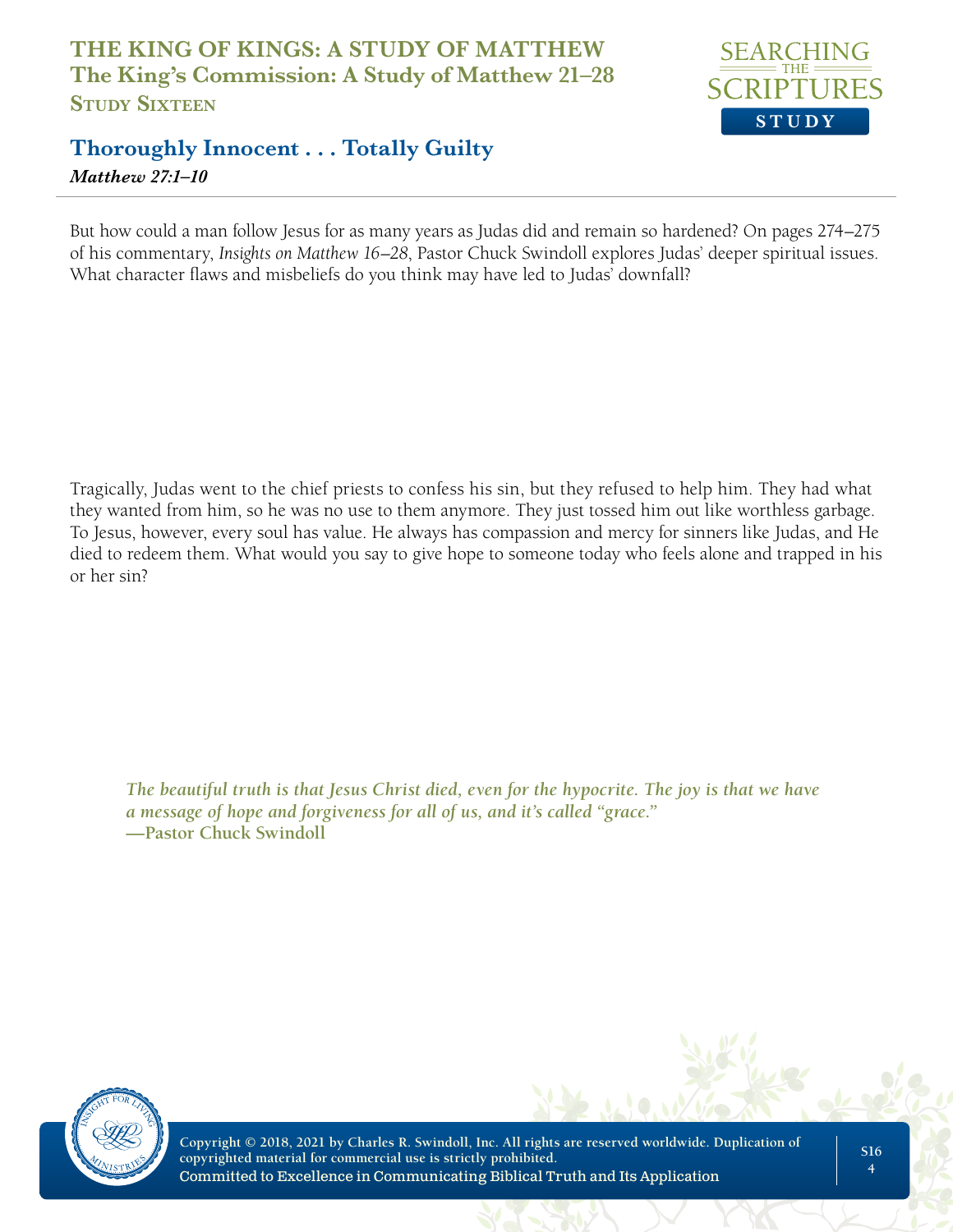

# **Thoroughly Innocent . . . Totally Guilty** *Matthew 27:1–10*

But how could a man follow Jesus for as many years as Judas did and remain so hardened? On pages 274–275 of his commentary, *Insights on Matthew 16–28*, Pastor Chuck Swindoll explores Judas' deeper spiritual issues. What character flaws and misbeliefs do you think may have led to Judas' downfall?

Tragically, Judas went to the chief priests to confess his sin, but they refused to help him. They had what they wanted from him, so he was no use to them anymore. They just tossed him out like worthless garbage. To Jesus, however, every soul has value. He always has compassion and mercy for sinners like Judas, and He died to redeem them. What would you say to give hope to someone today who feels alone and trapped in his or her sin?

*The beautiful truth is that Jesus Christ died, even for the hypocrite. The joy is that we have a message of hope and forgiveness for all of us, and it's called "grace."*  **—Pastor Chuck Swindoll**

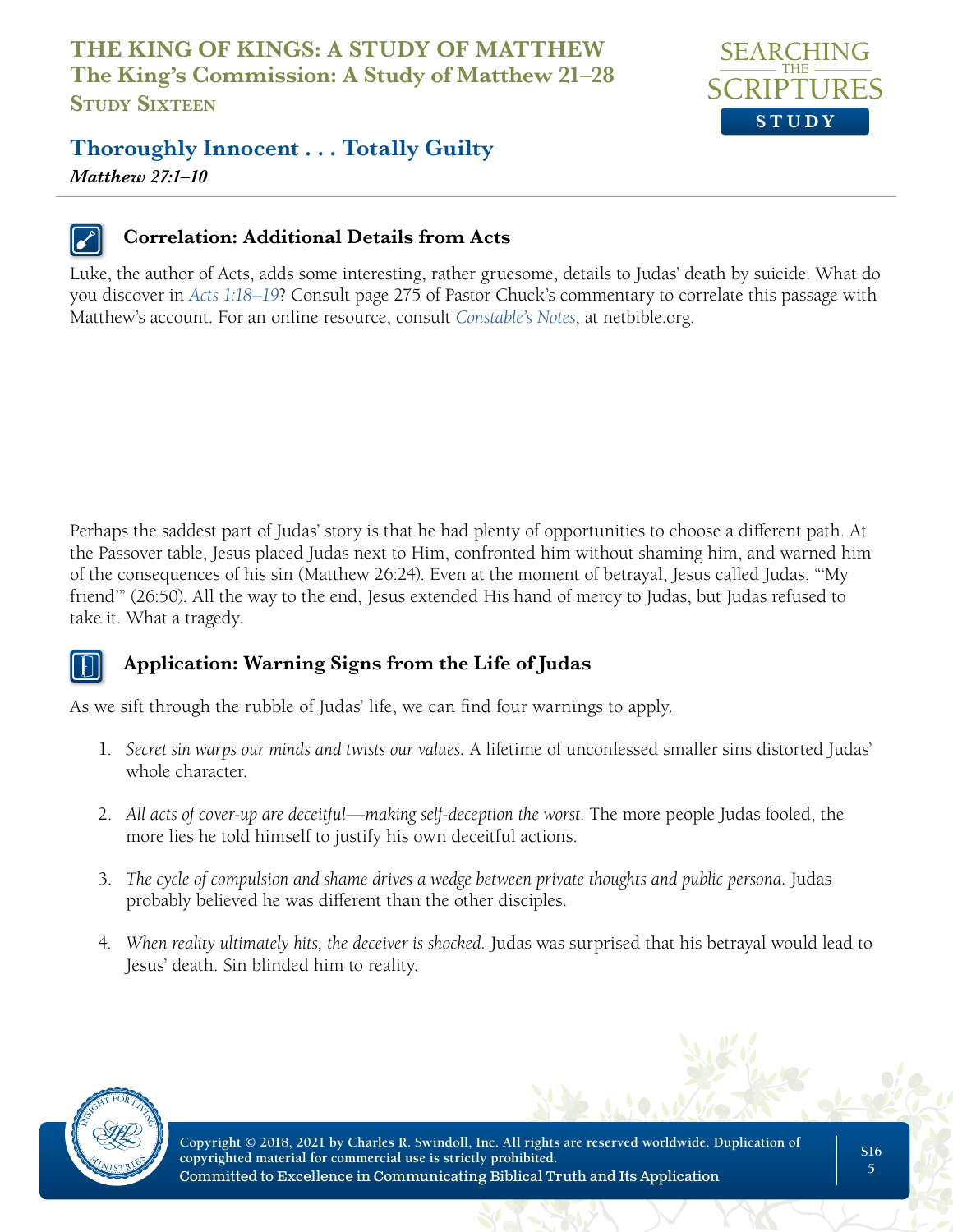

# **Thoroughly Innocent . . . Totally Guilty**

*Matthew 27:1–10*



#### **Correlation: Additional Details from Acts**

Luke, the author of Acts, adds some interesting, rather gruesome, details to Judas' death by suicide. What do you discover in *Acts 1:18–19*? Consult page 275 of Pastor Chuck's commentary to correlate this passage with Matthew's account. For an online resource, consult *Constable's Notes*, at netbible.org.

Perhaps the saddest part of Judas' story is that he had plenty of opportunities to choose a different path. At the Passover table, Jesus placed Judas next to Him, confronted him without shaming him, and warned him of the consequences of his sin (Matthew 26:24). Even at the moment of betrayal, Jesus called Judas, "'My friend'" (26:50). All the way to the end, Jesus extended His hand of mercy to Judas, but Judas refused to take it. What a tragedy.



#### **Application: Warning Signs from the Life of Judas**

As we sift through the rubble of Judas' life, we can find four warnings to apply.

- 1. *Secret sin warps our minds and twists our values.* A lifetime of unconfessed smaller sins distorted Judas' whole character.
- 2. All acts of cover-up are deceitful—making self-deception the worst. The more people Judas fooled, the more lies he told himself to justify his own deceitful actions.
- 3. *The cycle of compulsion and shame drives a wedge between private thoughts and public persona.* Judas probably believed he was different than the other disciples.
- 4. *When reality ultimately hits, the deceiver is shocked.* Judas was surprised that his betrayal would lead to Jesus' death. Sin blinded him to reality.

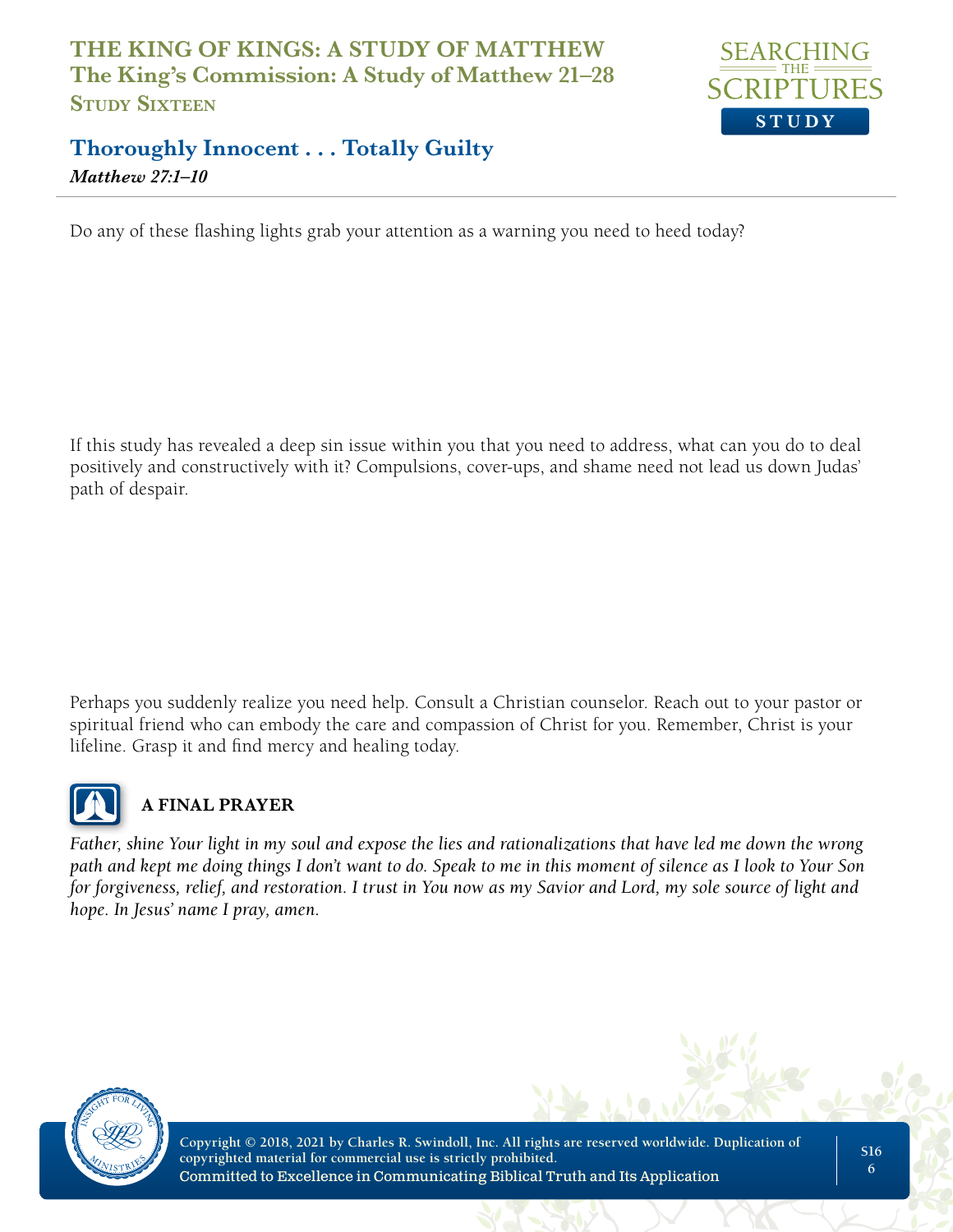

# **Thoroughly Innocent . . . Totally Guilty** *Matthew 27:1–10*

Do any of these flashing lights grab your attention as a warning you need to heed today?

If this study has revealed a deep sin issue within you that you need to address, what can you do to deal positively and constructively with it? Compulsions, cover-ups, and shame need not lead us down Judas' path of despair.

Perhaps you suddenly realize you need help. Consult a Christian counselor. Reach out to your pastor or spiritual friend who can embody the care and compassion of Christ for you. Remember, Christ is your lifeline. Grasp it and find mercy and healing today.



## **A FINAL PRAYER**

*Father, shine Your light in my soul and expose the lies and rationalizations that have led me down the wrong path and kept me doing things I don't want to do. Speak to me in this moment of silence as I look to Your Son for forgiveness, relief, and restoration. I trust in You now as my Savior and Lord, my sole source of light and hope. In Jesus' name I pray, amen.*

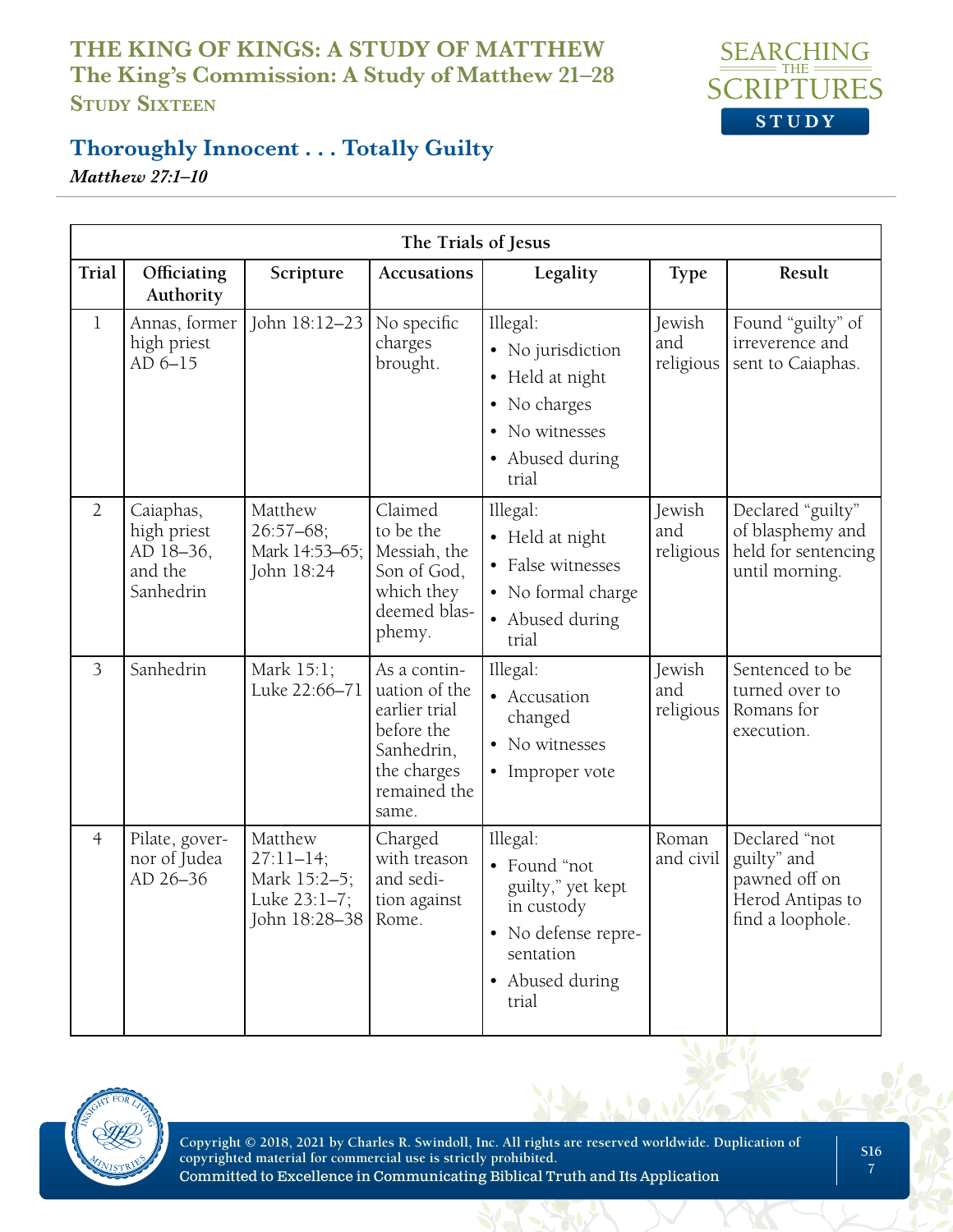

## **Thoroughly Innocent . . . Totally Guilty**

*Matthew 27:1–10*

| The Trials of Jesus |                                                               |                                                                           |                                                                                                                    |                                                                                                                             |                            |                                                                                       |
|---------------------|---------------------------------------------------------------|---------------------------------------------------------------------------|--------------------------------------------------------------------------------------------------------------------|-----------------------------------------------------------------------------------------------------------------------------|----------------------------|---------------------------------------------------------------------------------------|
| Trial               | Officiating<br>Authority                                      | Scripture                                                                 | <b>Accusations</b>                                                                                                 | Legality                                                                                                                    | <b>Type</b>                | Result                                                                                |
| $\mathbf{1}$        | Annas, former<br>high priest<br>AD 6-15                       | John 18:12-23                                                             | No specific<br>charges<br>brought.                                                                                 | Illegal:<br>• No jurisdiction<br>• Held at night<br>• No charges<br>• No witnesses<br>• Abused during<br>trial              | Jewish<br>and<br>religious | Found "guilty" of<br>irreverence and<br>sent to Caiaphas.                             |
| $\overline{2}$      | Caiaphas,<br>high priest<br>AD 18-36,<br>and the<br>Sanhedrin | Matthew<br>$26:57 - 68;$<br>Mark 14:53-65;<br>John 18:24                  | Claimed<br>to be the<br>Messiah, the<br>Son of God,<br>which they<br>deemed blas-<br>phemy.                        | Illegal:<br>• Held at night<br>• False witnesses<br>• No formal charge<br>• Abused during<br>trial                          | Jewish<br>and<br>religious | Declared "guilty"<br>of blasphemy and<br>held for sentencing<br>until morning.        |
| 3                   | Sanhedrin                                                     | Mark 15:1;<br>Luke 22:66-71                                               | As a contin-<br>uation of the<br>earlier trial<br>before the<br>Sanhedrin,<br>the charges<br>remained the<br>same. | Illegal:<br>• Accusation<br>changed<br>• No witnesses<br>• Improper vote                                                    | Jewish<br>and<br>religious | Sentenced to be<br>turned over to<br>Romans for<br>execution.                         |
| $\overline{4}$      | Pilate, gover-<br>nor of Judea<br>AD 26-36                    | Matthew<br>$27:11 - 14;$<br>Mark 15:2-5;<br>Luke 23:1-7;<br>John 18:28-38 | Charged<br>with treason<br>and sedi-<br>tion against<br>Rome.                                                      | Illegal:<br>• Found "not<br>guilty," yet kept<br>in custody<br>• No defense repre-<br>sentation<br>• Abused during<br>trial | Roman<br>and civil         | Declared "not<br>guilty" and<br>pawned off on<br>Herod Antipas to<br>find a loophole. |

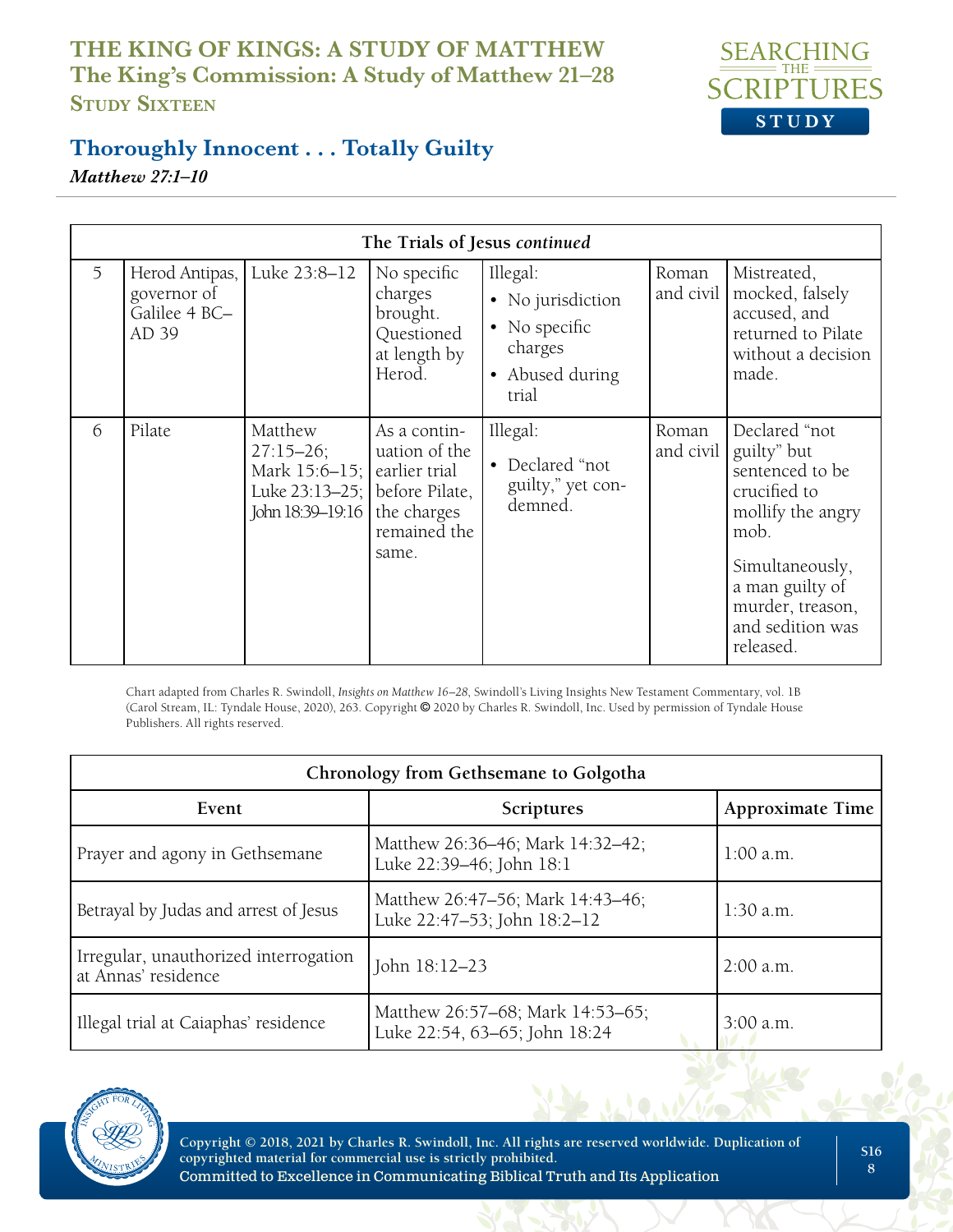

## **Thoroughly Innocent . . . Totally Guilty**

*Matthew 27:1–10*

| The Trials of Jesus continued |                                                         |                                                                                                                    |                                                                            |                                                                                       |                    |                                                                                                                                                                                         |
|-------------------------------|---------------------------------------------------------|--------------------------------------------------------------------------------------------------------------------|----------------------------------------------------------------------------|---------------------------------------------------------------------------------------|--------------------|-----------------------------------------------------------------------------------------------------------------------------------------------------------------------------------------|
| 5                             | Herod Antipas,<br>governor of<br>Galilee 4 BC-<br>AD 39 | Luke 23:8-12                                                                                                       | No specific<br>charges<br>brought.<br>Questioned<br>at length by<br>Herod. | Illegal:<br>• No jurisdiction<br>• No specific<br>charges<br>• Abused during<br>trial | Roman<br>and civil | Mistreated,<br>mocked, falsely<br>accused, and<br>returned to Pilate<br>without a decision<br>made.                                                                                     |
| 6                             | Pilate                                                  | Matthew<br>$27:15 - 26;$<br>Mark $15:6-15$ ; earlier trial<br>Luke $23:13-25$ ; before Pilate,<br>John 18:39-19:16 | As a contin-<br>uation of the<br>the charges<br>remained the<br>same.      | Illegal:<br>• Declared "not<br>guilty," yet con-<br>demned.                           | Roman<br>and civil | Declared "not<br>guilty" but<br>sentenced to be<br>crucified to<br>mollify the angry<br>mob.<br>Simultaneously,<br>a man guilty of<br>murder, treason,<br>and sedition was<br>released. |

Chart adapted from Charles R. Swindoll, *Insights on Matthew 16–28*, Swindoll's Living Insights New Testament Commentary, vol. 1B (Carol Stream, IL: Tyndale House, 2020), 263. Copyright © 2020 by Charles R. Swindoll, Inc. Used by permission of Tyndale House Publishers. All rights reserved.

| Chronology from Gethsemane to Golgotha                       |                                                                   |                         |  |  |  |
|--------------------------------------------------------------|-------------------------------------------------------------------|-------------------------|--|--|--|
| Event                                                        | Scriptures                                                        | <b>Approximate Time</b> |  |  |  |
| Prayer and agony in Gethsemane                               | Matthew 26:36-46; Mark 14:32-42;<br>Luke 22:39-46; John 18:1      | $1:00$ a.m.             |  |  |  |
| Betrayal by Judas and arrest of Jesus                        | Matthew 26:47-56; Mark 14:43-46;<br>Luke 22:47-53; John 18:2-12   | $1:30$ a.m.             |  |  |  |
| Irregular, unauthorized interrogation<br>at Annas' residence | John 18:12-23                                                     | $2:00$ a.m.             |  |  |  |
| Illegal trial at Caiaphas' residence                         | Matthew 26:57-68; Mark 14:53-65;<br>Luke 22:54, 63-65; John 18:24 | $3:00$ a.m.             |  |  |  |